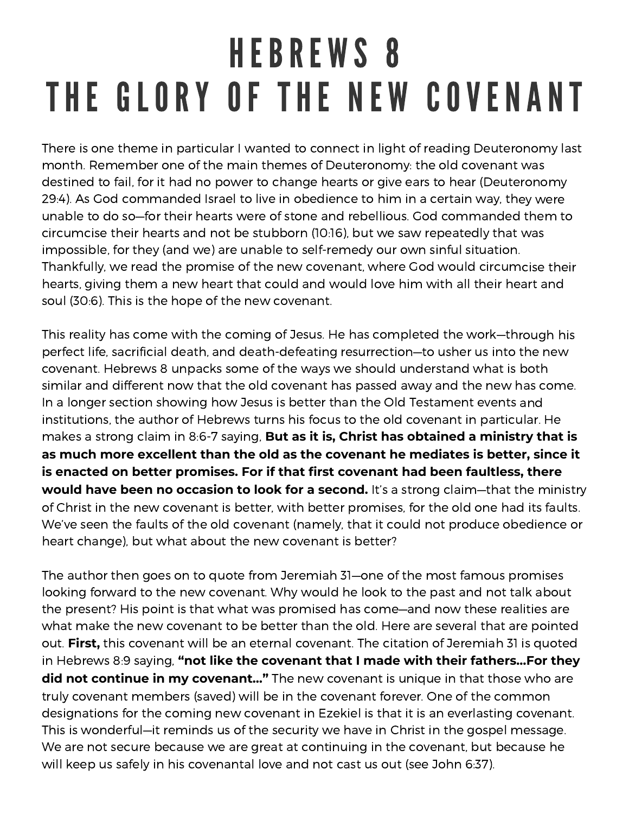## HEBREWS 8 THE GLORY OF THE NEW COVENANT

There is one theme in particular I wanted to connect in light of reading Deuteronomy last month. Remember one of the main themes of Deuteronomy: the old covenant was destined to fail, for it had no power to change hearts or give ears to hear (Deuteronomy 29:4). As God commanded Israel to live in obedience to him in <sup>a</sup> certain way, they were unable to do so—for their hearts were of stone and rebellious. God commanded them to circumcise their hearts and not be stubborn (10:16), but we saw repeatedly that was impossible, for they (and we) are unable to self-remedy our own sinful situation. Thankfully, we read the promise of the new covenant, where God would circumcise their hearts, giving them <sup>a</sup> new heart that could and would love him with all their heart and soul (30:6). This is the hope of the new covenant.

This reality has come with the coming of Jesus. He has completed the work—through his perfect life, sacrificial death, and death-defeating resurrection—to usher us into the new covenant. Hebrews 8 unpacks some of the ways we should understand what is both similar and different now that the old covenant has passed away and the new has come. In <sup>a</sup> longer section showing how Jesus is better than the Old Testament events and institutions, the author of Hebrews turns his focus to the old covenant in particular. He makes <sup>a</sup> strong claim in 8:6-7 saying, **But as it is, Christ has obtained <sup>a</sup> ministry that is as much more excellent than the old as the covenant he mediates is better, since it is enacted on better promises. For if that first covenant had been faultless, there would have been no occasion to look for <sup>a</sup> second.** It's <sup>a</sup> strong claim—that the ministry of Christ in the new covenant is better, with better promises, for the old one had its faults. We've seen the faults of the old covenant (namely, that it could not produce obedience or heart change), but what about the new covenant is better?

The author then goes on to quote from Jeremiah 31—one of the most famous promises looking forward to the new covenant. Why would he look to the past and not talk about the present? His point is that what was promised has come—and now these realities are what make the new covenant to be better than the old. Here are several that are pointed out. **First,** this covenant will be an eternal covenant. The citation of Jeremiah 31 is quoted in Hebrews 8:9 saying, **"not like the covenant that I made with their fathers…For they did not continue in my covenant…"** The new covenant is unique in that those who are truly covenant members (saved) will be in the covenant forever. One of the common designations for the coming new covenant in Ezekiel is that it is an everlasting covenant. This is wonderful—it reminds us of the security we have in Christ in the gospel message. We are not secure because we are great at continuing in the covenant, but because he will keep us safely in his covenantal love and not cast us out (see John 6:37).